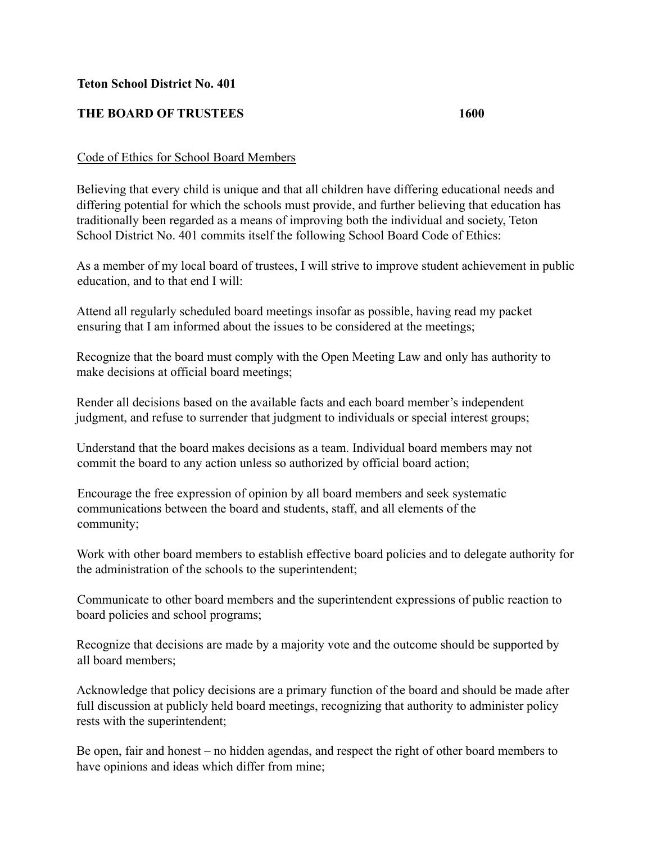## **Teton School District No. 401**

## **THE BOARD OF TRUSTEES 1600**

## Code of Ethics for School Board Members

Believing that every child is unique and that all children have differing educational needs and differing potential for which the schools must provide, and further believing that education has traditionally been regarded as a means of improving both the individual and society, Teton School District No. 401 commits itself the following School Board Code of Ethics:

As a member of my local board of trustees, I will strive to improve student achievement in public education, and to that end I will:

Attend all regularly scheduled board meetings insofar as possible, having read my packet ensuring that I am informed about the issues to be considered at the meetings;

Recognize that the board must comply with the Open Meeting Law and only has authority to make decisions at official board meetings;

Render all decisions based on the available facts and each board member's independent judgment, and refuse to surrender that judgment to individuals or special interest groups;

Understand that the board makes decisions as a team. Individual board members may not commit the board to any action unless so authorized by official board action;

Encourage the free expression of opinion by all board members and seek systematic communications between the board and students, staff, and all elements of the community;

Work with other board members to establish effective board policies and to delegate authority for the administration of the schools to the superintendent;

Communicate to other board members and the superintendent expressions of public reaction to board policies and school programs;

Recognize that decisions are made by a majority vote and the outcome should be supported by all board members;

Acknowledge that policy decisions are a primary function of the board and should be made after full discussion at publicly held board meetings, recognizing that authority to administer policy rests with the superintendent;

Be open, fair and honest – no hidden agendas, and respect the right of other board members to have opinions and ideas which differ from mine;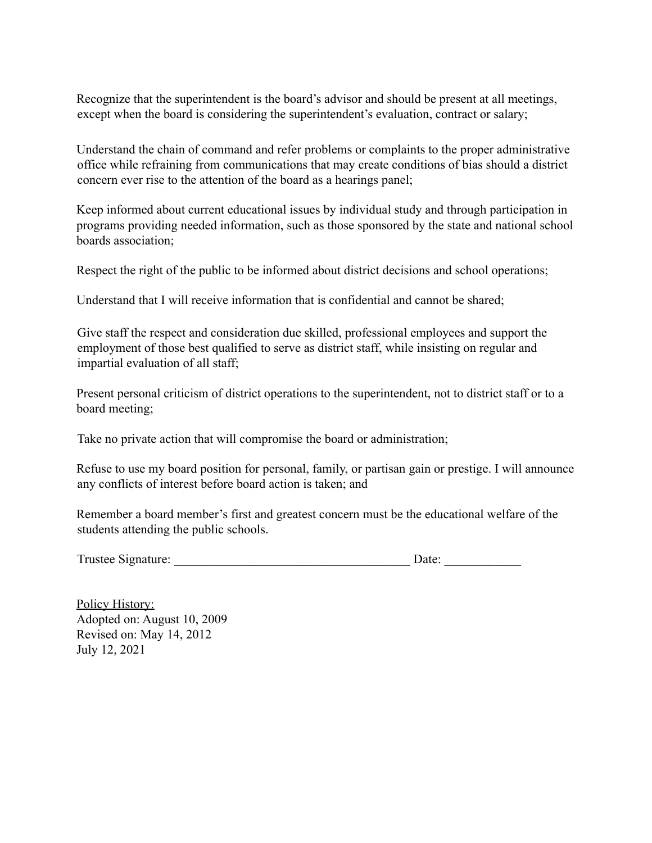Recognize that the superintendent is the board's advisor and should be present at all meetings, except when the board is considering the superintendent's evaluation, contract or salary;

Understand the chain of command and refer problems or complaints to the proper administrative office while refraining from communications that may create conditions of bias should a district concern ever rise to the attention of the board as a hearings panel;

Keep informed about current educational issues by individual study and through participation in programs providing needed information, such as those sponsored by the state and national school boards association;

Respect the right of the public to be informed about district decisions and school operations;

Understand that I will receive information that is confidential and cannot be shared;

Give staff the respect and consideration due skilled, professional employees and support the employment of those best qualified to serve as district staff, while insisting on regular and impartial evaluation of all staff;

Present personal criticism of district operations to the superintendent, not to district staff or to a board meeting;

Take no private action that will compromise the board or administration;

Refuse to use my board position for personal, family, or partisan gain or prestige. I will announce any conflicts of interest before board action is taken; and

Remember a board member's first and greatest concern must be the educational welfare of the students attending the public schools.

Trustee Signature: \_\_\_\_\_\_\_\_\_\_\_\_\_\_\_\_\_\_\_\_\_\_\_\_\_\_\_\_\_\_\_\_\_\_\_\_\_ Date: \_\_\_\_\_\_\_\_\_\_\_\_

Policy History: Adopted on: August 10, 2009 Revised on: May 14, 2012 July 12, 2021